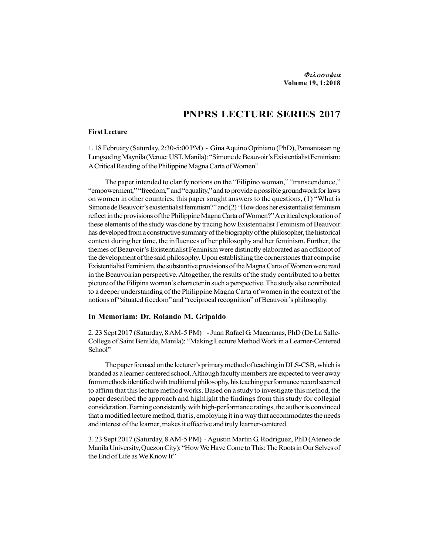## PNPRS LECTURE SERIES 2017

## First Lecture

1. 18 February (Saturday, 2:30-5:00 PM) - Gina Aquino Opiniano (PhD), Pamantasan ng Lungsod ng Maynila (Venue: UST, Manila): "Simone de Beauvoir's Existentialist Feminism: A Critical Reading of the Philippine Magna Carta of Women"

The paper intended to clarify notions on the "Filipino woman," "transcendence," "empowerment," "freedom," and "equality," and to provide a possible groundwork for laws on women in other countries, this paper sought answers to the questions, (1) "What is Simone de Beauvoir's existentialist feminism?" and (2) "How does her existentialist feminism reflect in the provisions of the Philippine Magna Carta of Women?" A critical exploration of these elements of the study was done by tracing how Existentialist Feminism of Beauvoir has developed from a constructive summary of the biography of the philosopher, the historical context during her time, the influences of her philosophy and her feminism. Further, the themes of Beauvoir's Existentialist Feminism were distinctly elaborated as an offshoot of the development of the said philosophy. Upon establishing the cornerstones that comprise Existentialist Feminism, the substantive provisions of the Magna Carta of Women were read in the Beauvoirian perspective. Altogether, the results of the study contributed to a better picture of the Filipina woman's character in such a perspective. The study also contributed to a deeper understanding of the Philippine Magna Carta of women in the context of the notions of "situated freedom" and "reciprocal recognition" of Beauvoir's philosophy.

## In Memoriam: Dr. Rolando M. Gripaldo

2. 23 Sept 2017 (Saturday, 8 AM-5 PM) - Juan Rafael G. Macaranas, PhD (De La Salle-College of Saint Benilde, Manila): "Making Lecture Method Work in a Learner-Centered School"

The paper focused on the lecturer's primary method of teaching in DLS-CSB, which is branded as a learner-centered school. Although faculty members are expected to veer away from methods identified with traditional philosophy, his teaching performance record seemed to affirm that this lecture method works. Based on a study to investigate this method, the paper described the approach and highlight the findings from this study for collegial consideration. Earning consistently with high-performance ratings, the author is convinced that a modified lecture method, that is, employing it in a way that accommodates the needs and interest of the learner, makes it effective and truly learner-centered.

3. 23 Sept 2017 (Saturday, 8 AM-5 PM) - Agustin Martin G. Rodriguez, PhD (Ateneo de Manila University, Quezon City): "How We Have Come to This: The Roots in Our Selves of the End of Life as We Know It"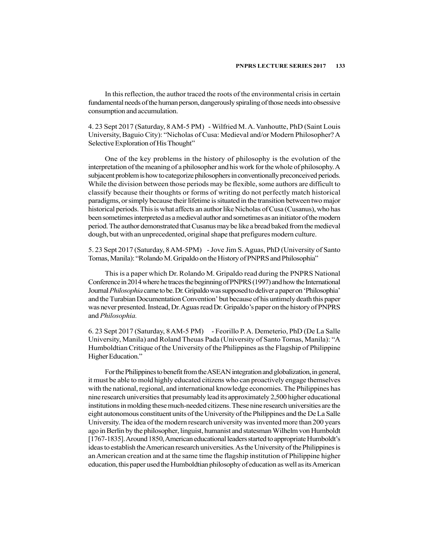In this reflection, the author traced the roots of the environmental crisis in certain fundamental needs of the human person, dangerously spiraling of those needs into obsessive consumption and accumulation.

4. 23 Sept 2017 (Saturday, 8 AM-5 PM) - Wilfried M. A. Vanhoutte, PhD (Saint Louis University, Baguio City): "Nicholas of Cusa: Medieval and/or Modern Philosopher? A Selective Exploration of His Thought"

One of the key problems in the history of philosophy is the evolution of the interpretation of the meaning of a philosopher and his work for the whole of philosophy. A subjacent problem is how to categorize philosophers in conventionally preconceived periods. While the division between those periods may be flexible, some authors are difficult to classify because their thoughts or forms of writing do not perfectly match historical paradigms, or simply because their lifetime is situated in the transition between two major historical periods. This is what affects an author like Nicholas of Cusa (Cusanus), who has been sometimes interpreted as a medieval author and sometimes as an initiator of the modern period. The author demonstrated that Cusanus may be like a bread baked from the medieval dough, but with an unprecedented, original shape that prefigures modern culture.

5. 23 Sept 2017 (Saturday, 8 AM-5PM) - Jove Jim S. Aguas, PhD (University of Santo Tomas, Manila): "Rolando M. Gripaldo on the History of PNPRS and Philosophia"

This is a paper which Dr. Rolando M. Gripaldo read during the PNPRS National Conference in 2014 where he traces the beginning of PNPRS (1997) and how the International Journal Philosophia came to be. Dr. Gripaldo was supposed to deliver a paper on 'Philosophia' and the Turabian Documentation Convention' but because of his untimely death this paper was never presented. Instead, Dr. Aguas read Dr. Gripaldo's paper on the history of PNPRS and Philosophia.

6. 23 Sept 2017 (Saturday, 8 AM-5 PM) - Feorillo P. A. Demeterio, PhD (De La Salle University, Manila) and Roland Theuas Pada (University of Santo Tomas, Manila): "A Humboldtian Critique of the University of the Philippines as the Flagship of Philippine Higher Education."

For the Philippines to benefit from the ASEAN integration and globalization, in general, it must be able to mold highly educated citizens who can proactively engage themselves with the national, regional, and international knowledge economies. The Philippines has nine research universities that presumably lead its approximately 2,500 higher educational institutions in molding these much-needed citizens. These nine research universities are the eight autonomous constituent units of the University of the Philippines and the De La Salle University. The idea of the modern research university was invented more than 200 years ago in Berlin by the philosopher, linguist, humanist and statesman Wilhelm von Humboldt [1767-1835]. Around 1850, American educational leaders started to appropriate Humboldt's ideas to establish the American research universities. As the University of the Philippines is an American creation and at the same time the flagship institution of Philippine higher education, this paper used the Humboldtian philosophy of education as well as its American